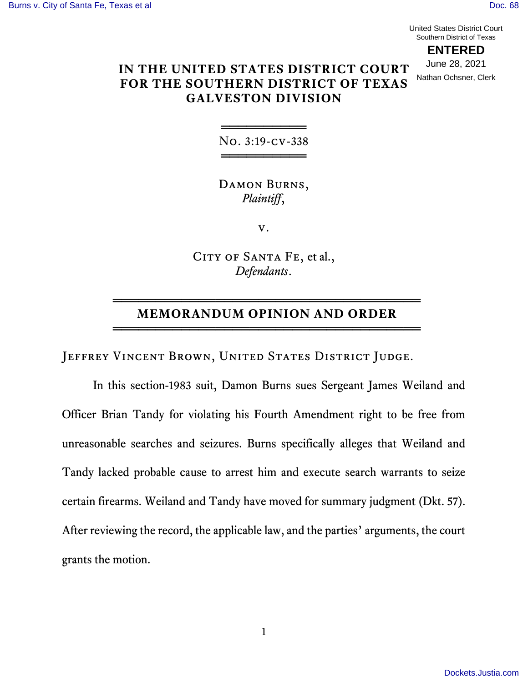United States District Court Southern District of Texas

**ENTERED** June 28, 2021 Nathan Ochsner, Clerk

# **IN THE UNITED STATES DISTRICT COURT FOR THE SOUTHERN DISTRICT OF TEXAS GALVESTON DIVISION**

══════════ No. 3:19-cv-338 ══════════

Damon Burns, *Plaintiff*,

v.

CITY OF SANTA FE, et al., *Defendants*.

## ════════════════════════════════════ **MEMORANDUM OPINION AND ORDER** ════════════════════════════════════

JEFFREY VINCENT BROWN, UNITED STATES DISTRICT JUDGE.

In this section-1983 suit, Damon Burns sues Sergeant James Weiland and Officer Brian Tandy for violating his Fourth Amendment right to be free from unreasonable searches and seizures. Burns specifically alleges that Weiland and Tandy lacked probable cause to arrest him and execute search warrants to seize certain firearms. Weiland and Tandy have moved for summary judgment (Dkt. 57). After reviewing the record, the applicable law, and the parties' arguments, the court grants the motion.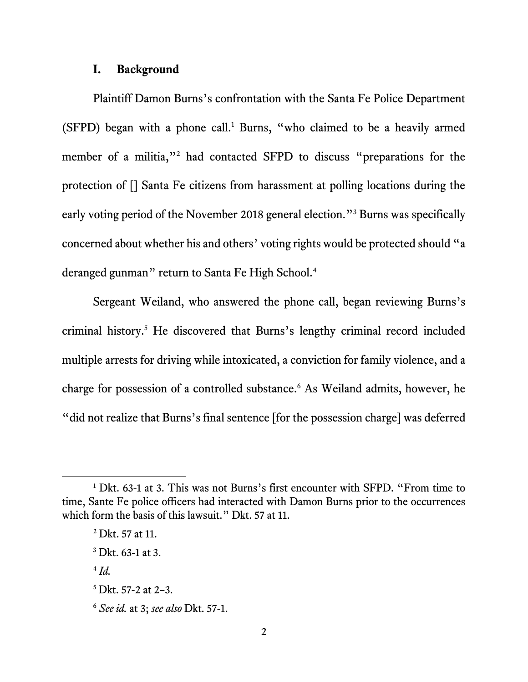### **I. Background**

Plaintiff Damon Burns's confrontation with the Santa Fe Police Department (SFPD) began with a phone call.<sup>1</sup> Burns, "who claimed to be a heavily armed member of a militia,"<sup>2</sup> had contacted SFPD to discuss "preparations for the protection of [] Santa Fe citizens from harassment at polling locations during the early voting period of the November 2018 general election."<sup>3</sup> Burns was specifically concerned about whether his and others' voting rights would be protected should "a deranged gunman" return to Santa Fe High School.<sup>4</sup>

Sergeant Weiland, who answered the phone call, began reviewing Burns's criminal history. <sup>5</sup> He discovered that Burns's lengthy criminal record included multiple arrests for driving while intoxicated, a conviction for family violence, and a charge for possession of a controlled substance.<sup>6</sup> As Weiland admits, however, he "did not realize that Burns's final sentence [for the possession charge] was deferred

<sup>&</sup>lt;sup>1</sup> Dkt. 63-1 at 3. This was not Burns's first encounter with SFPD. "From time to time, Sante Fe police officers had interacted with Damon Burns prior to the occurrences which form the basis of this lawsuit." Dkt. 57 at 11.

<sup>2</sup> Dkt. 57 at 11.

 $3$  Dkt. 63-1 at 3.

<sup>4</sup> *Id.*

 $5$  Dkt. 57-2 at 2–3.

<sup>6</sup> *See id.* at 3; *see also* Dkt. 57-1.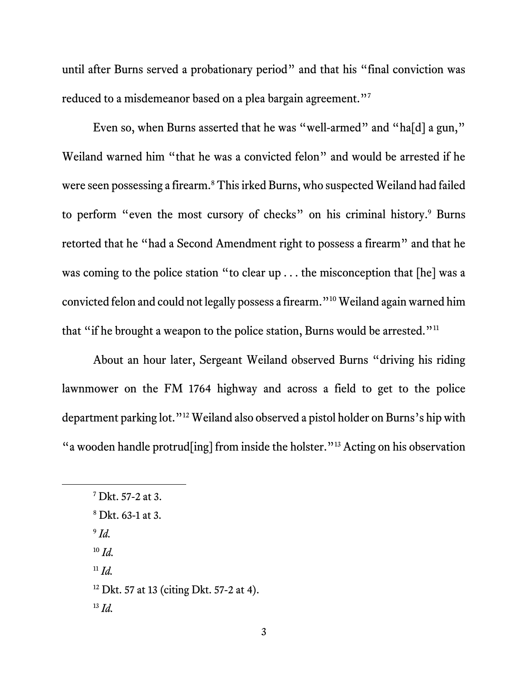until after Burns served a probationary period" and that his "final conviction was reduced to a misdemeanor based on a plea bargain agreement."7

Even so, when Burns asserted that he was "well-armed" and "ha[d] a gun," Weiland warned him "that he was a convicted felon" and would be arrested if he were seen possessing a firearm.<sup>8</sup> This irked Burns, who suspected Weiland had failed to perform "even the most cursory of checks" on his criminal history. <sup>9</sup> Burns retorted that he "had a Second Amendment right to possess a firearm" and that he was coming to the police station "to clear up . . . the misconception that [he] was a convicted felon and could not legally possess a firearm." <sup>10</sup> Weiland again warned him that "if he brought a weapon to the police station, Burns would be arrested."<sup>11</sup>

About an hour later, Sergeant Weiland observed Burns "driving his riding lawnmower on the FM 1764 highway and across a field to get to the police department parking lot."<sup>12</sup> Weiland also observed a pistol holder on Burns's hip with "a wooden handle protrud[ing] from inside the holster."<sup>13</sup> Acting on his observation

- 9 *Id.*
- <sup>10</sup> *Id.*
- $11 \, Id.$
- $12$  Dkt. 57 at 13 (citing Dkt. 57-2 at 4).
- <sup>13</sup> *Id.*

<sup>7</sup> Dkt. 57-2 at 3.

<sup>8</sup> Dkt. 63-1 at 3.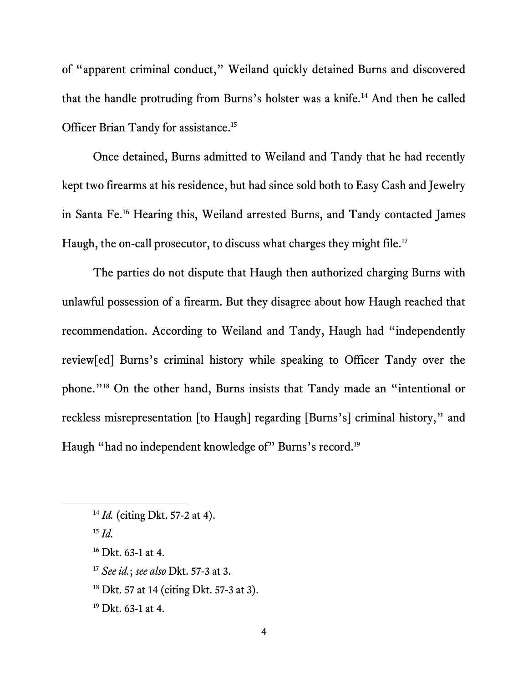of "apparent criminal conduct," Weiland quickly detained Burns and discovered that the handle protruding from Burns's holster was a knife.<sup>14</sup> And then he called Officer Brian Tandy for assistance.<sup>15</sup>

Once detained, Burns admitted to Weiland and Tandy that he had recently kept two firearms at his residence, but had since sold both to Easy Cash and Jewelry in Santa Fe.<sup>16</sup> Hearing this, Weiland arrested Burns, and Tandy contacted James Haugh, the on-call prosecutor, to discuss what charges they might file.<sup>17</sup>

The parties do not dispute that Haugh then authorized charging Burns with unlawful possession of a firearm. But they disagree about how Haugh reached that recommendation. According to Weiland and Tandy, Haugh had "independently review[ed] Burns's criminal history while speaking to Officer Tandy over the phone."<sup>18</sup> On the other hand, Burns insists that Tandy made an "intentional or reckless misrepresentation [to Haugh] regarding [Burns's] criminal history," and Haugh "had no independent knowledge of" Burns's record.<sup>19</sup>

<sup>15</sup> *Id.*

- <sup>17</sup> *See id.*; *see also* Dkt. 57-3 at 3.
- <sup>18</sup> Dkt. 57 at 14 (citing Dkt. 57-3 at 3).
- <sup>19</sup> Dkt. 63-1 at 4.

<sup>14</sup> *Id.* (citing Dkt. 57-2 at 4).

 $16$  Dkt. 63-1 at 4.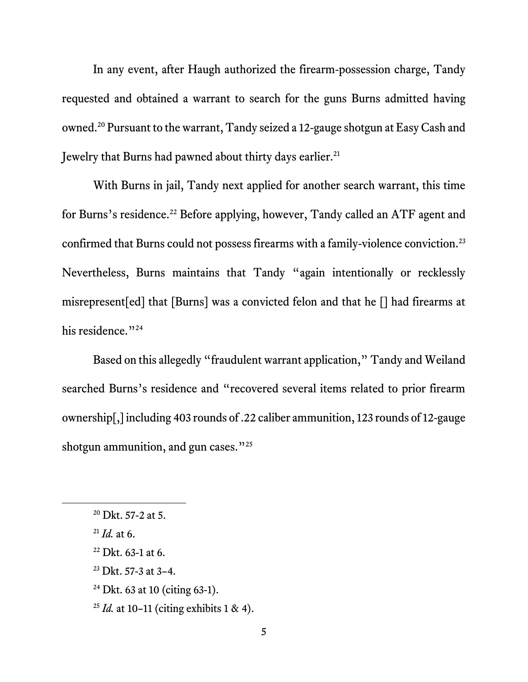In any event, after Haugh authorized the firearm-possession charge, Tandy requested and obtained a warrant to search for the guns Burns admitted having owned. <sup>20</sup> Pursuant to the warrant, Tandy seized a 12-gauge shotgun at Easy Cash and Jewelry that Burns had pawned about thirty days earlier.<sup>21</sup>

With Burns in jail, Tandy next applied for another search warrant, this time for Burns's residence.<sup>22</sup> Before applying, however, Tandy called an ATF agent and confirmed that Burns could not possess firearms with a family-violence conviction.<sup>23</sup> Nevertheless, Burns maintains that Tandy "again intentionally or recklessly misrepresent[ed] that [Burns] was a convicted felon and that he [] had firearms at his residence."<sup>24</sup>

Based on this allegedly "fraudulent warrant application," Tandy and Weiland searched Burns's residence and "recovered several items related to prior firearm ownership[,] including 403 rounds of .22 caliber ammunition, 123 rounds of 12-gauge shotgun ammunition, and gun cases."<sup>25</sup>

<sup>20</sup> Dkt. 57-2 at 5.

 $^{21}$ *Id.* at 6.

 $22$  Dkt. 63-1 at 6.

 $23$  Dkt. 57-3 at 3-4.

<sup>24</sup> Dkt. 63 at 10 (citing 63-1).

<sup>25</sup> *Id.* at 10–11 (citing exhibits 1 & 4).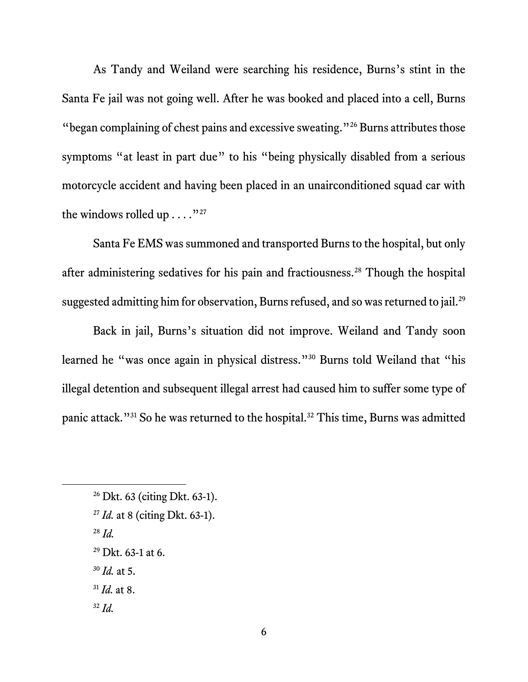As Tandy and Weiland were searching his residence, Burns's stint in the Santa Fe jail was not going well. After he was booked and placed into a cell, Burns "began complaining of chest pains and excessive sweating."<sup>26</sup> Burns attributes those symptoms "at least in part due" to his "being physically disabled from a serious motorcycle accident and having been placed in an unairconditioned squad car with the windows rolled up  $\dots$ ."<sup>27</sup>

Santa Fe EMS was summoned and transported Burns to the hospital, but only after administering sedatives for his pain and fractiousness.<sup>28</sup> Though the hospital suggested admitting him for observation, Burns refused, and so was returned to jail.<sup>29</sup>

Back in jail, Burns's situation did not improve. Weiland and Tandy soon learned he "was once again in physical distress." <sup>30</sup> Burns told Weiland that "his illegal detention and subsequent illegal arrest had caused him to suffer some type of panic attack."<sup>31</sup> So he was returned to the hospital. <sup>32</sup> This time, Burns was admitted

- <sup>27</sup> *Id.* at 8 (citing Dkt. 63-1).
- <sup>28</sup> *Id.*
- $^{29}$  Dkt. 63-1 at 6.
- <sup>30</sup> *Id.* at 5.
- <sup>31</sup> *Id.* at 8.
- <sup>32</sup> *Id.*

<sup>26</sup> Dkt. 63 (citing Dkt. 63-1).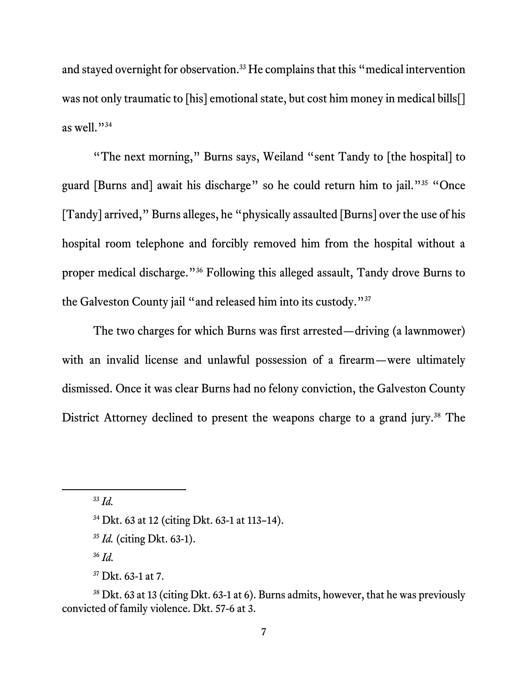and stayed overnight for observation.<sup>33</sup> He complains that this "medical intervention was not only traumatic to [his] emotional state, but cost him money in medical bills[] as well."<sup>34</sup>

"The next morning," Burns says, Weiland "sent Tandy to [the hospital] to guard [Burns and] await his discharge" so he could return him to jail."<sup>35</sup> "Once [Tandy] arrived," Burns alleges, he "physically assaulted [Burns] over the use of his hospital room telephone and forcibly removed him from the hospital without a proper medical discharge."<sup>36</sup> Following this alleged assault, Tandy drove Burns to the Galveston County jail "and released him into its custody."<sup>37</sup>

The two charges for which Burns was first arrested—driving (a lawnmower) with an invalid license and unlawful possession of a firearm—were ultimately dismissed. Once it was clear Burns had no felony conviction, the Galveston County District Attorney declined to present the weapons charge to a grand jury. <sup>38</sup> The

<sup>36</sup> *Id.*

<sup>33</sup> *Id.*

<sup>34</sup> Dkt. 63 at 12 (citing Dkt. 63-1 at 113–14).

<sup>35</sup> *Id.* (citing Dkt. 63-1).

<sup>37</sup> Dkt. 63-1 at 7.

<sup>&</sup>lt;sup>38</sup> Dkt. 63 at 13 (citing Dkt. 63-1 at 6). Burns admits, however, that he was previously convicted of family violence. Dkt. 57-6 at 3.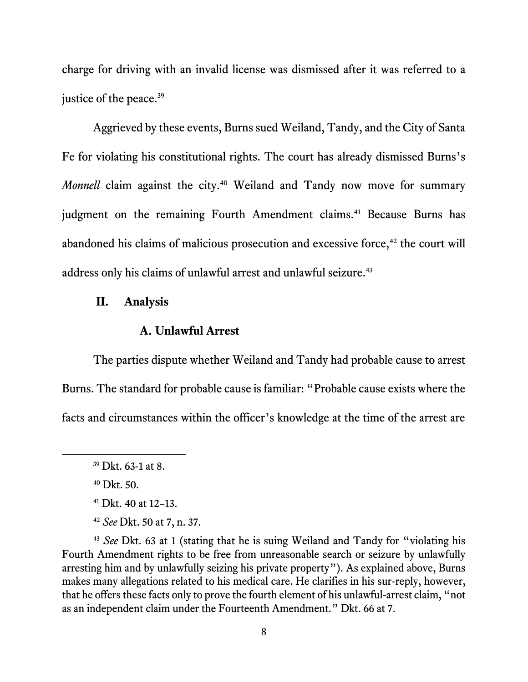charge for driving with an invalid license was dismissed after it was referred to a justice of the peace.<sup>39</sup>

Aggrieved by these events, Burns sued Weiland, Tandy, and the City of Santa Fe for violating his constitutional rights. The court has already dismissed Burns's *Monnell* claim against the city.<sup>40</sup> Weiland and Tandy now move for summary judgment on the remaining Fourth Amendment claims.<sup>41</sup> Because Burns has abandoned his claims of malicious prosecution and excessive force, $42$  the court will address only his claims of unlawful arrest and unlawful seizure.<sup>43</sup>

### **II. Analysis**

#### **A. Unlawful Arrest**

The parties dispute whether Weiland and Tandy had probable cause to arrest Burns. The standard for probable cause is familiar: "Probable cause exists where the facts and circumstances within the officer's knowledge at the time of the arrest are

 $39$  Dkt. 63-1 at 8.

<sup>40</sup> Dkt. 50.

<sup>41</sup> Dkt. 40 at 12–13.

<sup>42</sup> *See* Dkt. 50 at 7, n. 37.

<sup>43</sup> *See* Dkt. 63 at 1 (stating that he is suing Weiland and Tandy for "violating his Fourth Amendment rights to be free from unreasonable search or seizure by unlawfully arresting him and by unlawfully seizing his private property"). As explained above, Burns makes many allegations related to his medical care. He clarifies in his sur-reply, however, that he offers these facts only to prove the fourth element of his unlawful-arrest claim, "not as an independent claim under the Fourteenth Amendment." Dkt. 66 at 7.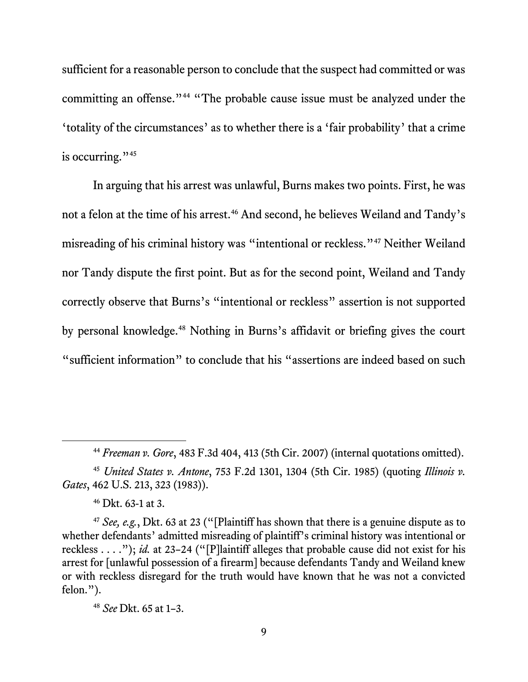sufficient for a reasonable person to conclude that the suspect had committed or was committing an offense."<sup>44</sup> "The probable cause issue must be analyzed under the 'totality of the circumstances' as to whether there is a 'fair probability' that a crime is occurring." $45$ 

In arguing that his arrest was unlawful, Burns makes two points. First, he was not a felon at the time of his arrest.<sup>46</sup> And second, he believes Weiland and Tandy's misreading of his criminal history was "intentional or reckless."<sup>47</sup> Neither Weiland nor Tandy dispute the first point. But as for the second point, Weiland and Tandy correctly observe that Burns's "intentional or reckless" assertion is not supported by personal knowledge.<sup>48</sup> Nothing in Burns's affidavit or briefing gives the court "sufficient information" to conclude that his "assertions are indeed based on such

<sup>44</sup> *Freeman v. Gore*, 483 F.3d 404, 413 (5th Cir. 2007) (internal quotations omitted).

<sup>45</sup> *United States v. Antone*, 753 F.2d 1301, 1304 (5th Cir. 1985) (quoting *Illinois v. Gates*, 462 U.S. 213, 323 (1983)).

<sup>46</sup> Dkt. 63-1 at 3.

<sup>47</sup> *See, e.g.*, Dkt. 63 at 23 ("[Plaintiff has shown that there is a genuine dispute as to whether defendants' admitted misreading of plaintiff's criminal history was intentional or reckless . . . ."); *id.* at 23–24 ("[P]laintiff alleges that probable cause did not exist for his arrest for [unlawful possession of a firearm] because defendants Tandy and Weiland knew or with reckless disregard for the truth would have known that he was not a convicted felon.").

<sup>48</sup> *See* Dkt. 65 at 1–3.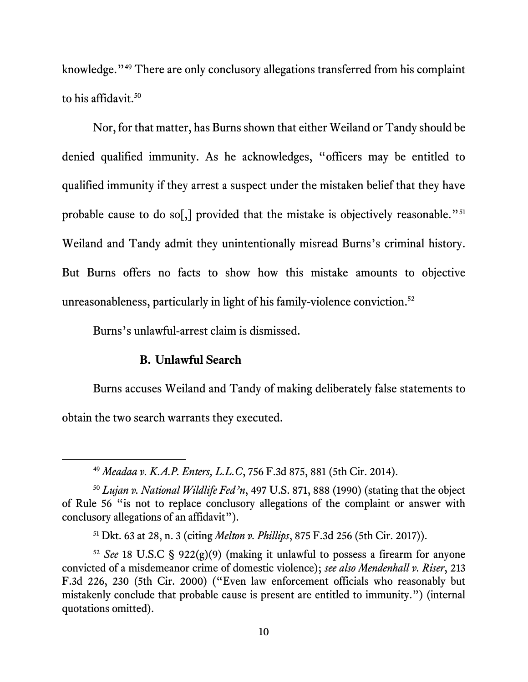knowledge."<sup>49</sup> There are only conclusory allegations transferred from his complaint to his affidavit.<sup>50</sup>

Nor, for that matter, has Burns shown that either Weiland or Tandy should be denied qualified immunity. As he acknowledges, "officers may be entitled to qualified immunity if they arrest a suspect under the mistaken belief that they have probable cause to do so[,] provided that the mistake is objectively reasonable."<sup>51</sup> Weiland and Tandy admit they unintentionally misread Burns's criminal history. But Burns offers no facts to show how this mistake amounts to objective unreasonableness, particularly in light of his family-violence conviction.<sup>52</sup>

Burns's unlawful-arrest claim is dismissed.

#### **B. Unlawful Search**

Burns accuses Weiland and Tandy of making deliberately false statements to obtain the two search warrants they executed.

<sup>49</sup> *Meadaa v. K.A.P. Enters, L.L.C*, 756 F.3d 875, 881 (5th Cir. 2014).

<sup>50</sup> *Lujan v. National Wildlife Fed'n*, 497 U.S. 871, 888 (1990) (stating that the object of Rule 56 "is not to replace conclusory allegations of the complaint or answer with conclusory allegations of an affidavit").

<sup>51</sup> Dkt. 63 at 28, n. 3 (citing *Melton v. Phillips*, 875 F.3d 256 (5th Cir. 2017)).

<sup>52</sup> *See* 18 U.S.C § 922(g)(9) (making it unlawful to possess a firearm for anyone convicted of a misdemeanor crime of domestic violence); *see also Mendenhall v. Riser*, 213 F.3d 226, 230 (5th Cir. 2000) ("Even law enforcement officials who reasonably but mistakenly conclude that probable cause is present are entitled to immunity.") (internal quotations omitted).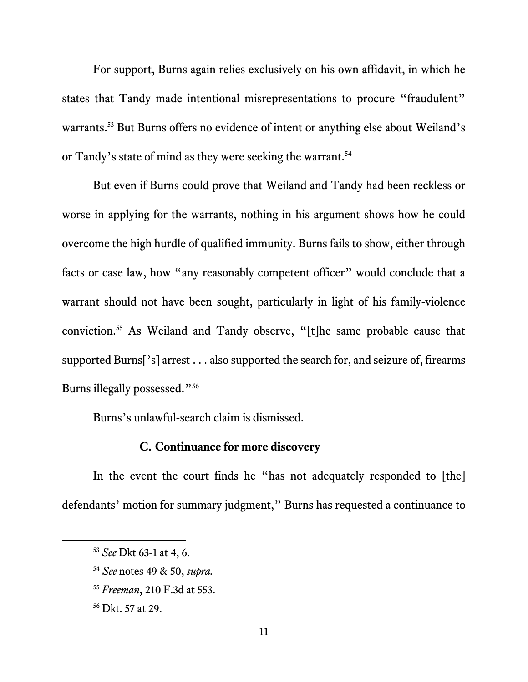For support, Burns again relies exclusively on his own affidavit, in which he states that Tandy made intentional misrepresentations to procure "fraudulent" warrants.<sup>53</sup> But Burns offers no evidence of intent or anything else about Weiland's or Tandy's state of mind as they were seeking the warrant.<sup>54</sup>

But even if Burns could prove that Weiland and Tandy had been reckless or worse in applying for the warrants, nothing in his argument shows how he could overcome the high hurdle of qualified immunity. Burns fails to show, either through facts or case law, how "any reasonably competent officer" would conclude that a warrant should not have been sought, particularly in light of his family-violence conviction.<sup>55</sup> As Weiland and Tandy observe, "[t]he same probable cause that supported Burns['s] arrest . . . also supported the search for, and seizure of, firearms Burns illegally possessed."<sup>56</sup>

Burns's unlawful-search claim is dismissed.

## **C. Continuance for more discovery**

In the event the court finds he "has not adequately responded to [the] defendants' motion for summary judgment," Burns has requested a continuance to

- <sup>55</sup> *Freeman*, 210 F.3d at 553.
- <sup>56</sup> Dkt. 57 at 29.

<sup>53</sup> *See* Dkt 63-1 at 4, 6.

<sup>54</sup> *See* notes 49 & 50, *supra.*